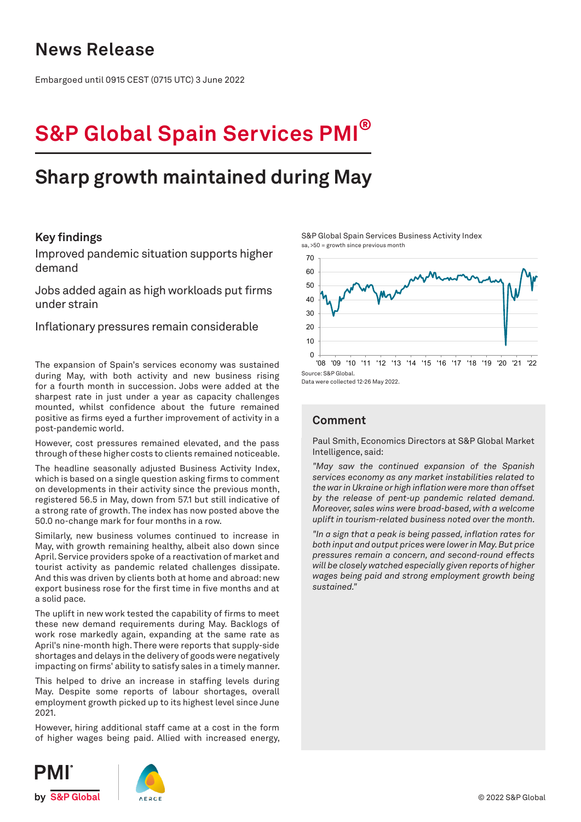### **News Release**

Embargoed until 0915 CEST (0715 UTC) 3 June 2022

# **S&P Global Spain Services PMI®**

## **Sharp growth maintained during May**

#### **Key findings**

Improved pandemic situation supports higher demand

Jobs added again as high workloads put firms under strain

Inflationary pressures remain considerable

The expansion of Spain's services economy was sustained during May, with both activity and new business rising for a fourth month in succession. Jobs were added at the sharpest rate in just under a year as capacity challenges mounted, whilst confidence about the future remained positive as firms eyed a further improvement of activity in a post-pandemic world.

However, cost pressures remained elevated, and the pass through of these higher costs to clients remained noticeable.

The headline seasonally adjusted Business Activity Index, which is based on a single question asking firms to comment on developments in their activity since the previous month, registered 56.5 in May, down from 57.1 but still indicative of a strong rate of growth. The index has now posted above the 50.0 no-change mark for four months in a row.

Similarly, new business volumes continued to increase in May, with growth remaining healthy, albeit also down since April. Service providers spoke of a reactivation of market and tourist activity as pandemic related challenges dissipate. And this was driven by clients both at home and abroad: new export business rose for the first time in five months and at a solid pace.

The uplift in new work tested the capability of firms to meet these new demand requirements during May. Backlogs of work rose markedly again, expanding at the same rate as April's nine-month high. There were reports that supply-side shortages and delays in the delivery of goods were negatively impacting on firms' ability to satisfy sales in a timely manner.

This helped to drive an increase in staffing levels during May. Despite some reports of labour shortages, overall employment growth picked up to its highest level since June 2021.

However, hiring additional staff came at a cost in the form of higher wages being paid. Allied with increased energy, S&P Global Spain Services Business Activity Index sa, >50 = growth since previous month



Data were collected 12-26 May 2022.

### **Comment**

Paul Smith, Economics Directors at S&P Global Market Intelligence, said:

*"May saw the continued expansion of the Spanish services economy as any market instabilities related to the war in Ukraine or high inflation were more than offset by the release of pent-up pandemic related demand. Moreover, sales wins were broad-based, with a welcome uplift in tourism-related business noted over the month.* 

*"In a sign that a peak is being passed, inflation rates for both input and output prices were lower in May. But price pressures remain a concern, and second-round effects will be closely watched especially given reports of higher wages being paid and strong employment growth being sustained."*



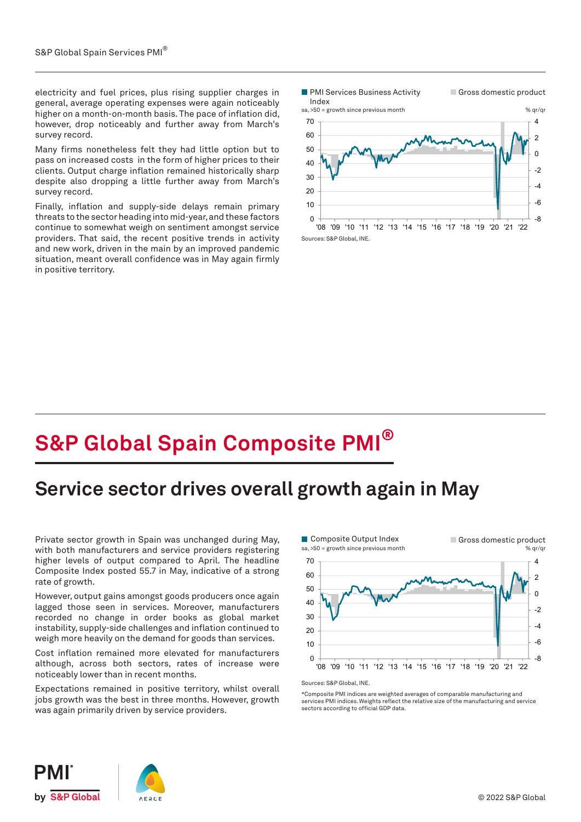electricity and fuel prices, plus rising supplier charges in general, average operating expenses were again noticeably higher on a month-on-month basis. The pace of inflation did, however, drop noticeably and further away from March's survey record.

Many firms nonetheless felt they had little option but to pass on increased costs in the form of higher prices to their clients. Output charge inflation remained historically sharp despite also dropping a little further away from March's survey record.

Finally, inflation and supply-side delays remain primary threats to the sector heading into mid-year, and these factors continue to somewhat weigh on sentiment amongst service providers. That said, the recent positive trends in activity and new work, driven in the main by an improved pandemic situation, meant overall confidence was in May again firmly in positive territory.



## **S&P Global Spain Composite PMI®**

## **Service sector drives overall growth again in May**

Private sector growth in Spain was unchanged during May, with both manufacturers and service providers registering higher levels of output compared to April. The headline Composite Index posted 55.7 in May, indicative of a strong rate of growth.

However, output gains amongst goods producers once again lagged those seen in services. Moreover, manufacturers recorded no change in order books as global market instability, supply-side challenges and inflation continued to weigh more heavily on the demand for goods than services.

Cost inflation remained more elevated for manufacturers although, across both sectors, rates of increase were noticeably lower than in recent months.

Expectations remained in positive territory, whilst overall jobs growth was the best in three months. However, growth was again primarily driven by service providers.



\*Composite PMI indices are weighted averages of comparable manufacturing and services PMI indices. Weights reflect the relative size of the manufacturing and service sectors according to official GDP data.